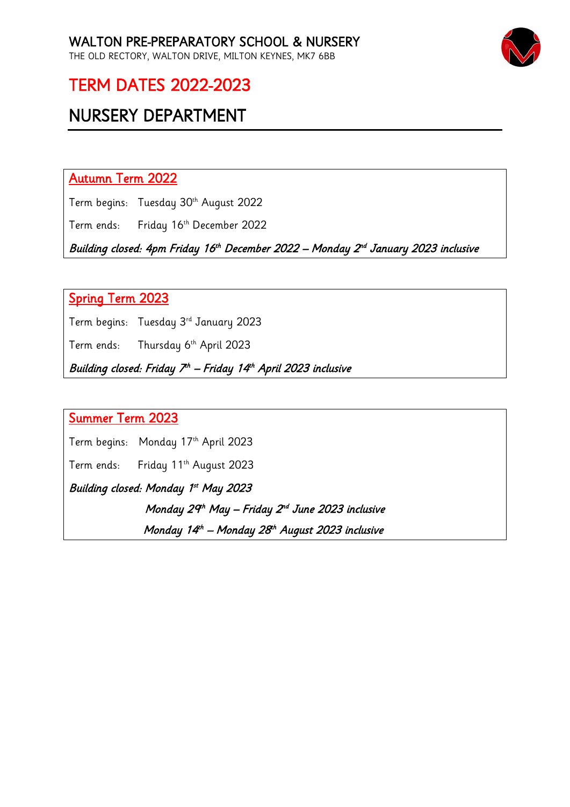

### TERM DATES 2022-2023

## NURSERY DEPARTMENT

Autumn Term 2022

Term begins: Tuesday 30<sup>th</sup> August 2022

Term ends: Friday 16th December 2022

Building closed: 4pm Friday 16<sup>th</sup> December 2022 – Monday 2<sup>nd</sup> January 2023 inclusive

#### Spring Term 2023

Term begins: Tuesday 3rd January 2023

Term ends: Thursday 6th April 2023

Building closed: Friday 7<sup>th</sup> – Friday 14<sup>th</sup> April 2023 inclusive

### Summer Term 2023

Term begins: Monday 17th April 2023

Term ends: Friday 11<sup>th</sup> August 2023

Building closed: Monday 1st May 2023

Monday 29th May – Friday 2<sup>nd</sup> June 2023 inclusive

Monday 14<sup>th</sup> – Monday 28<sup>th</sup> August 2023 inclusive